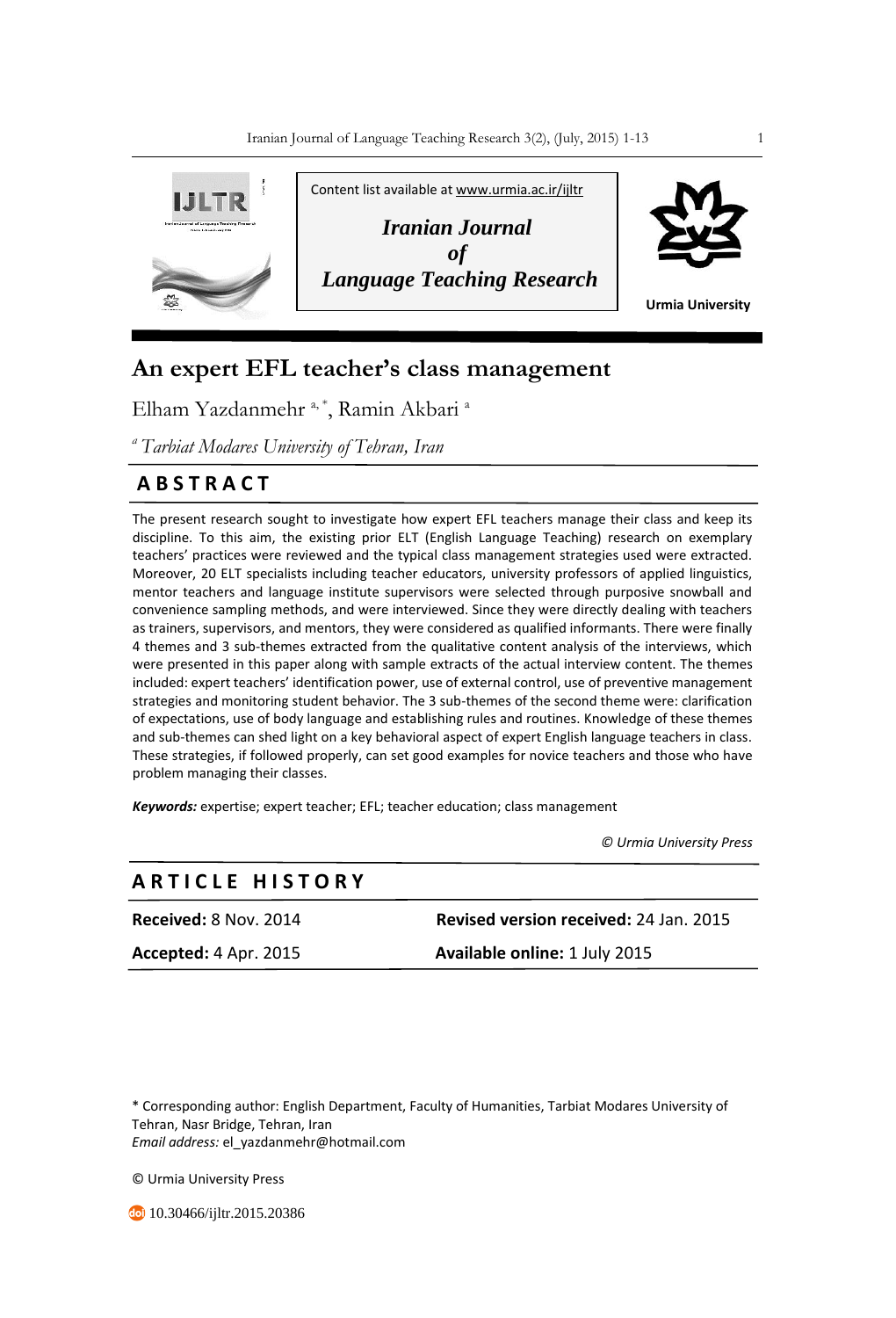

# **An expert EFL teacher's class management**

Elham Yazdanmehr<sup>a, \*</sup>, Ramin Akbari<sup>a</sup>

*<sup>a</sup>Tarbiat Modares University of Tehran, Iran*

## **A B S T R A C T**

The present research sought to investigate how expert EFL teachers manage their class and keep its discipline. To this aim, the existing prior ELT (English Language Teaching) research on exemplary teachers' practices were reviewed and the typical class management strategies used were extracted. Moreover, 20 ELT specialists including teacher educators, university professors of applied linguistics, mentor teachers and language institute supervisors were selected through purposive snowball and convenience sampling methods, and were interviewed. Since they were directly dealing with teachers as trainers, supervisors, and mentors, they were considered as qualified informants. There were finally 4 themes and 3 sub-themes extracted from the qualitative content analysis of the interviews, which were presented in this paper along with sample extracts of the actual interview content. The themes included: expert teachers' identification power, use of external control, use of preventive management strategies and monitoring student behavior. The 3 sub-themes of the second theme were: clarification of expectations, use of body language and establishing rules and routines. Knowledge of these themes and sub-themes can shed light on a key behavioral aspect of expert English language teachers in class. These strategies, if followed properly, can set good examples for novice teachers and those who have problem managing their classes.

*Keywords:* expertise; expert teacher; EFL; teacher education; class management

 *© Urmia University Press*

### **A R T I C L E H I S T O R Y**

**Received:** 8 Nov. 2014 **Revised version received:** 24 Jan. 2015 **Accepted:** 4 Apr. 2015 **Available online:** 1 July 2015

\* Corresponding author: English Department, Faculty of Humanities, Tarbiat Modares University of Tehran, Nasr Bridge, Tehran, Iran *Email address:* el\_yazdanmehr@hotmail.com

© Urmia University Press

**10.30466/ijltr.2015.20386**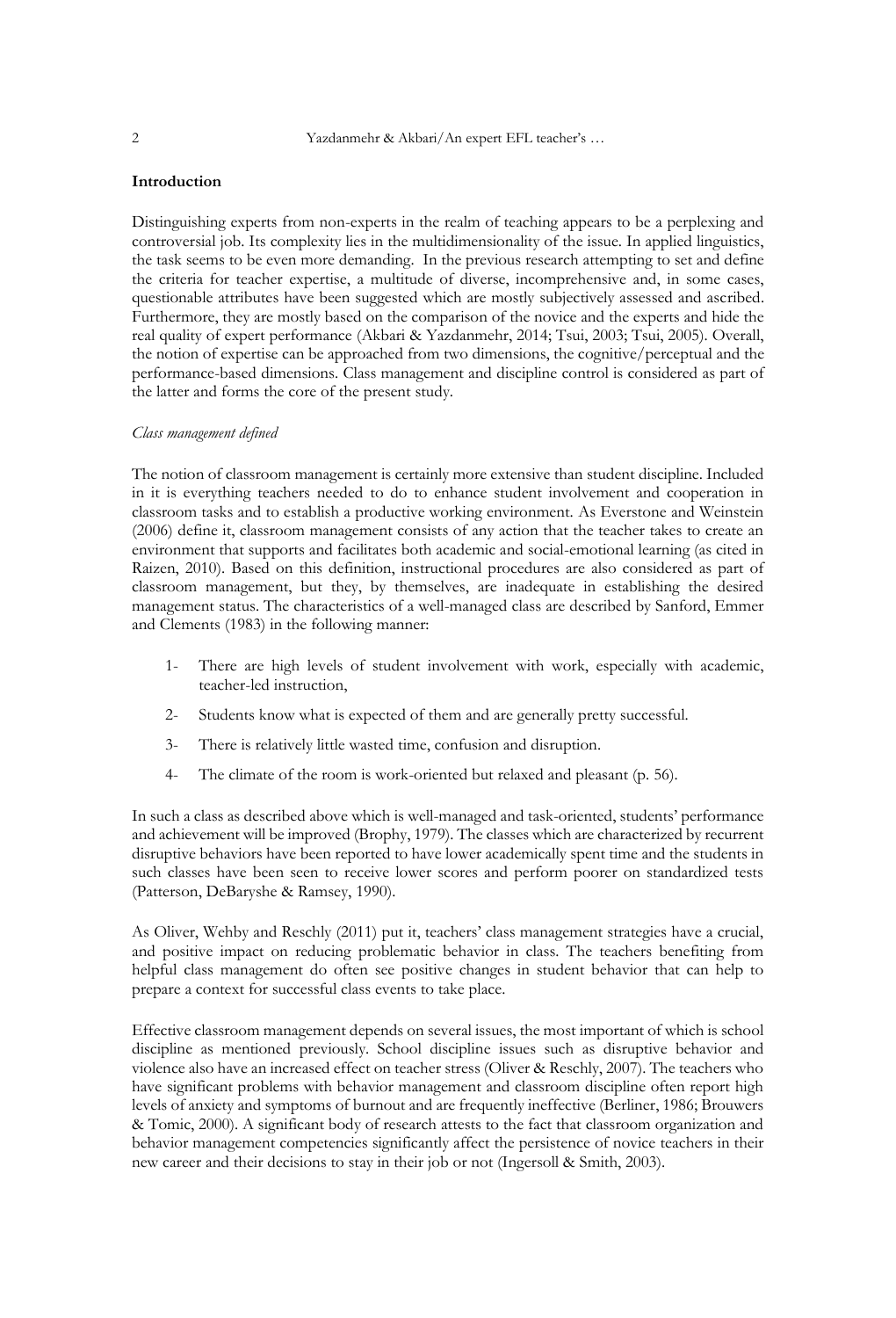#### **Introduction**

Distinguishing experts from non-experts in the realm of teaching appears to be a perplexing and controversial job. Its complexity lies in the multidimensionality of the issue. In applied linguistics, the task seems to be even more demanding. In the previous research attempting to set and define the criteria for teacher expertise, a multitude of diverse, incomprehensive and, in some cases, questionable attributes have been suggested which are mostly subjectively assessed and ascribed. Furthermore, they are mostly based on the comparison of the novice and the experts and hide the real quality of expert performance (Akbari & Yazdanmehr, 2014; Tsui, 2003; Tsui, 2005). Overall, the notion of expertise can be approached from two dimensions, the cognitive/perceptual and the performance-based dimensions. Class management and discipline control is considered as part of the latter and forms the core of the present study.

#### *Class management defined*

The notion of classroom management is certainly more extensive than student discipline. Included in it is everything teachers needed to do to enhance student involvement and cooperation in classroom tasks and to establish a productive working environment. As Everstone and Weinstein (2006) define it, classroom management consists of any action that the teacher takes to create an environment that supports and facilitates both academic and social-emotional learning (as cited in Raizen, 2010). Based on this definition, instructional procedures are also considered as part of classroom management, but they, by themselves, are inadequate in establishing the desired management status. The characteristics of a well-managed class are described by Sanford, Emmer and Clements (1983) in the following manner:

- 1- There are high levels of student involvement with work, especially with academic, teacher-led instruction,
- 2- Students know what is expected of them and are generally pretty successful.
- 3- There is relatively little wasted time, confusion and disruption.
- 4- The climate of the room is work-oriented but relaxed and pleasant (p. 56).

In such a class as described above which is well-managed and task-oriented, students' performance and achievement will be improved (Brophy, 1979). The classes which are characterized by recurrent disruptive behaviors have been reported to have lower academically spent time and the students in such classes have been seen to receive lower scores and perform poorer on standardized tests (Patterson, DeBaryshe & Ramsey, 1990).

As Oliver, Wehby and Reschly (2011) put it, teachers' class management strategies have a crucial, and positive impact on reducing problematic behavior in class. The teachers benefiting from helpful class management do often see positive changes in student behavior that can help to prepare a context for successful class events to take place.

Effective classroom management depends on several issues, the most important of which is school discipline as mentioned previously. School discipline issues such as disruptive behavior and violence also have an increased effect on teacher stress (Oliver & Reschly, 2007). The teachers who have significant problems with behavior management and classroom discipline often report high levels of anxiety and symptoms of burnout and are frequently ineffective (Berliner, 1986; Brouwers & Tomic, 2000). A significant body of research attests to the fact that classroom organization and behavior management competencies significantly affect the persistence of novice teachers in their new career and their decisions to stay in their job or not (Ingersoll & Smith, 2003).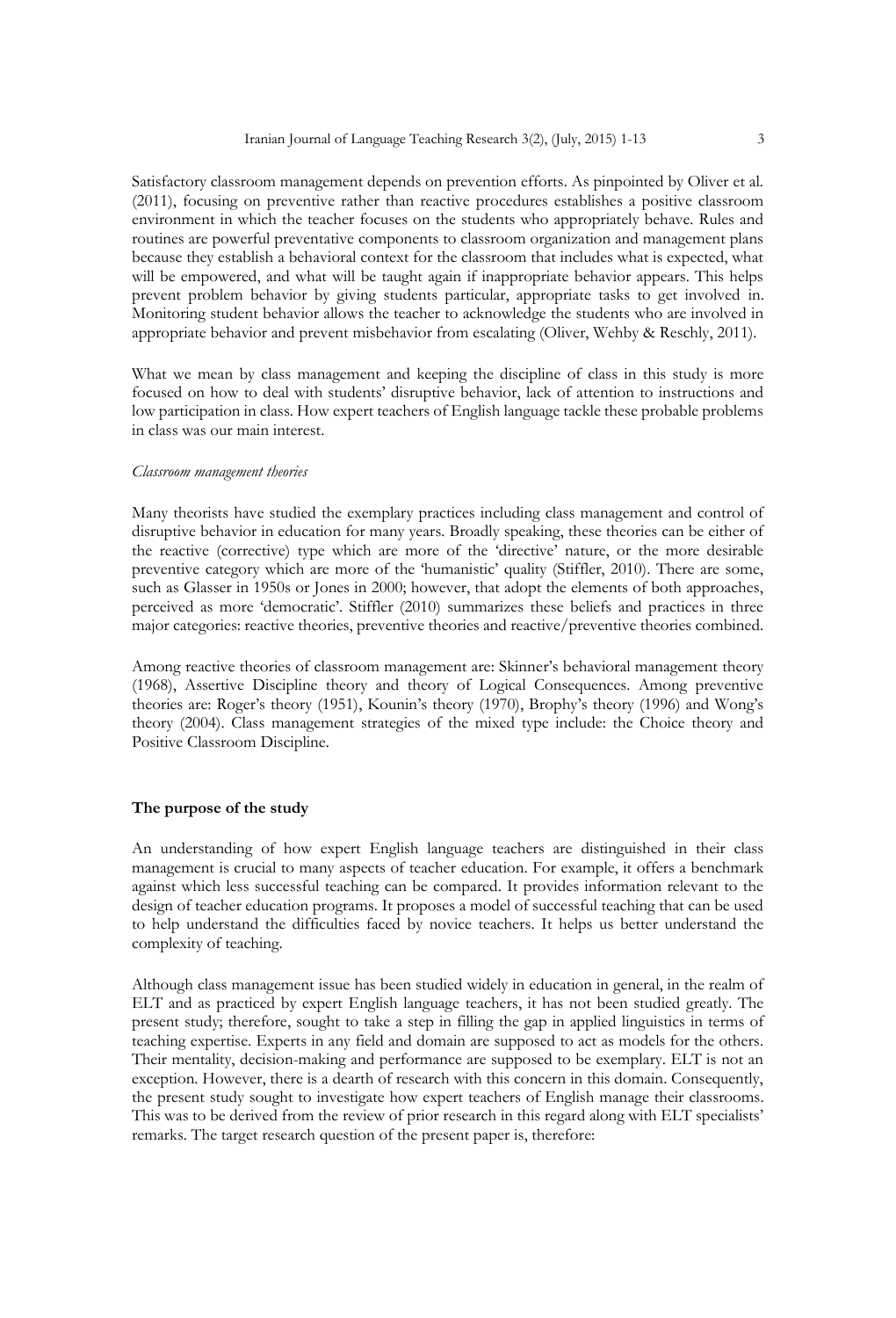Satisfactory classroom management depends on prevention efforts. As pinpointed by Oliver et al. (2011), focusing on preventive rather than reactive procedures establishes a positive classroom environment in which the teacher focuses on the students who appropriately behave. Rules and routines are powerful preventative components to classroom organization and management plans because they establish a behavioral context for the classroom that includes what is expected, what will be empowered, and what will be taught again if inappropriate behavior appears. This helps prevent problem behavior by giving students particular, appropriate tasks to get involved in. Monitoring student behavior allows the teacher to acknowledge the students who are involved in appropriate behavior and prevent misbehavior from escalating (Oliver, Wehby & Reschly, 2011).

What we mean by class management and keeping the discipline of class in this study is more focused on how to deal with students' disruptive behavior, lack of attention to instructions and low participation in class. How expert teachers of English language tackle these probable problems in class was our main interest.

#### *Classroom management theories*

Many theorists have studied the exemplary practices including class management and control of disruptive behavior in education for many years. Broadly speaking, these theories can be either of the reactive (corrective) type which are more of the 'directive' nature, or the more desirable preventive category which are more of the 'humanistic' quality (Stiffler, 2010). There are some, such as Glasser in 1950s or Jones in 2000; however, that adopt the elements of both approaches, perceived as more 'democratic'. Stiffler (2010) summarizes these beliefs and practices in three major categories: reactive theories, preventive theories and reactive/preventive theories combined.

Among reactive theories of classroom management are: Skinner's behavioral management theory (1968), Assertive Discipline theory and theory of Logical Consequences. Among preventive theories are: Roger's theory (1951), Kounin's theory (1970), Brophy's theory (1996) and Wong's theory (2004). Class management strategies of the mixed type include: the Choice theory and Positive Classroom Discipline.

#### **The purpose of the study**

An understanding of how expert English language teachers are distinguished in their class management is crucial to many aspects of teacher education. For example, it offers a benchmark against which less successful teaching can be compared. It provides information relevant to the design of teacher education programs. It proposes a model of successful teaching that can be used to help understand the difficulties faced by novice teachers. It helps us better understand the complexity of teaching.

Although class management issue has been studied widely in education in general, in the realm of ELT and as practiced by expert English language teachers, it has not been studied greatly. The present study; therefore, sought to take a step in filling the gap in applied linguistics in terms of teaching expertise. Experts in any field and domain are supposed to act as models for the others. Their mentality, decision-making and performance are supposed to be exemplary. ELT is not an exception. However, there is a dearth of research with this concern in this domain. Consequently, the present study sought to investigate how expert teachers of English manage their classrooms. This was to be derived from the review of prior research in this regard along with ELT specialists' remarks. The target research question of the present paper is, therefore: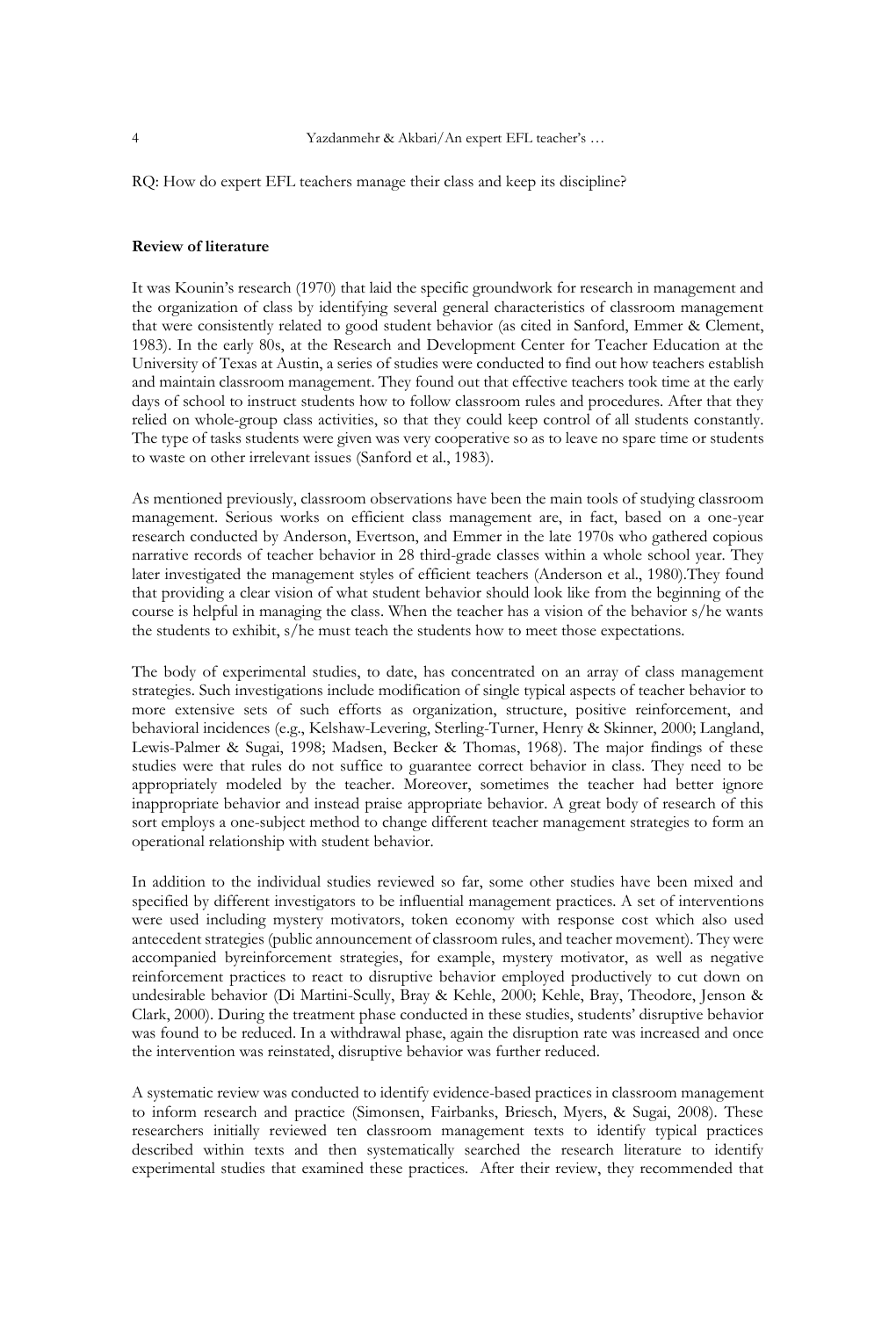RQ: How do expert EFL teachers manage their class and keep its discipline?

#### **Review of literature**

It was Kounin's research (1970) that laid the specific groundwork for research in management and the organization of class by identifying several general characteristics of classroom management that were consistently related to good student behavior (as cited in Sanford, Emmer & Clement, 1983). In the early 80s, at the Research and Development Center for Teacher Education at the University of Texas at Austin, a series of studies were conducted to find out how teachers establish and maintain classroom management. They found out that effective teachers took time at the early days of school to instruct students how to follow classroom rules and procedures. After that they relied on whole-group class activities, so that they could keep control of all students constantly. The type of tasks students were given was very cooperative so as to leave no spare time or students to waste on other irrelevant issues (Sanford et al., 1983).

As mentioned previously, classroom observations have been the main tools of studying classroom management. Serious works on efficient class management are, in fact, based on a one-year research conducted by Anderson, Evertson, and Emmer in the late 1970s who gathered copious narrative records of teacher behavior in 28 third-grade classes within a whole school year. They later investigated the management styles of efficient teachers (Anderson et al., 1980).They found that providing a clear vision of what student behavior should look like from the beginning of the course is helpful in managing the class. When the teacher has a vision of the behavior s/he wants the students to exhibit, s/he must teach the students how to meet those expectations.

The body of experimental studies, to date, has concentrated on an array of class management strategies. Such investigations include modification of single typical aspects of teacher behavior to more extensive sets of such efforts as organization, structure, positive reinforcement, and behavioral incidences (e.g., Kelshaw-Levering, Sterling-Turner, Henry & Skinner, 2000; Langland, Lewis-Palmer & Sugai, 1998; Madsen, Becker & Thomas, 1968). The major findings of these studies were that rules do not suffice to guarantee correct behavior in class. They need to be appropriately modeled by the teacher. Moreover, sometimes the teacher had better ignore inappropriate behavior and instead praise appropriate behavior. A great body of research of this sort employs a one-subject method to change different teacher management strategies to form an operational relationship with student behavior.

In addition to the individual studies reviewed so far, some other studies have been mixed and specified by different investigators to be influential management practices. A set of interventions were used including mystery motivators, token economy with response cost which also used antecedent strategies (public announcement of classroom rules, and teacher movement). They were accompanied byreinforcement strategies, for example, mystery motivator, as well as negative reinforcement practices to react to disruptive behavior employed productively to cut down on undesirable behavior (Di Martini-Scully, Bray & Kehle, 2000; Kehle, Bray, Theodore, Jenson & Clark, 2000). During the treatment phase conducted in these studies, students' disruptive behavior was found to be reduced. In a withdrawal phase, again the disruption rate was increased and once the intervention was reinstated, disruptive behavior was further reduced.

A systematic review was conducted to identify evidence-based practices in classroom management to inform research and practice (Simonsen, Fairbanks, Briesch, Myers, & Sugai, 2008). These researchers initially reviewed ten classroom management texts to identify typical practices described within texts and then systematically searched the research literature to identify experimental studies that examined these practices. After their review, they recommended that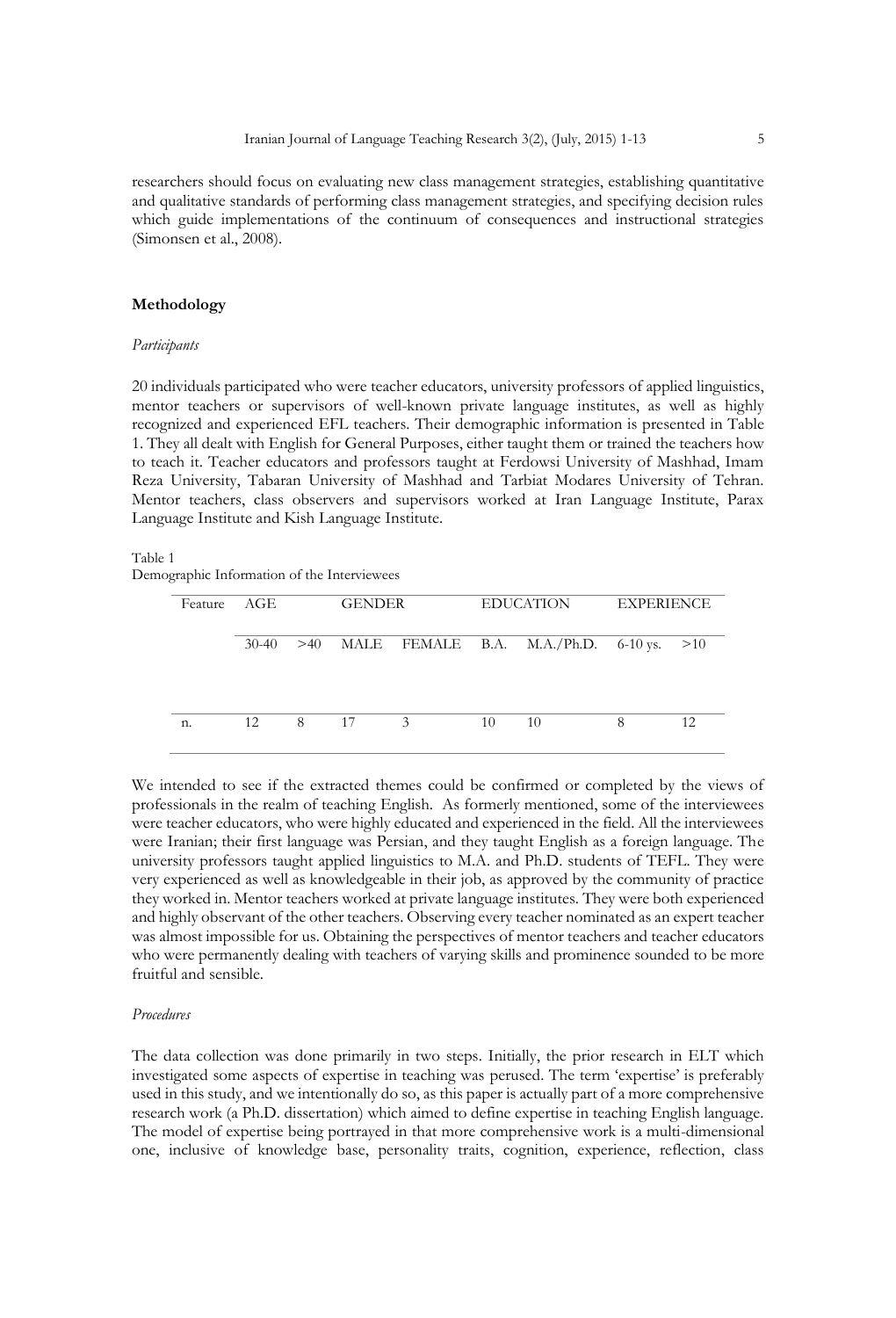researchers should focus on evaluating new class management strategies, establishing quantitative and qualitative standards of performing class management strategies, and specifying decision rules which guide implementations of the continuum of consequences and instructional strategies (Simonsen et al., 2008).

#### **Methodology**

#### *Participants*

20 individuals participated who were teacher educators, university professors of applied linguistics, mentor teachers or supervisors of well-known private language institutes, as well as highly recognized and experienced EFL teachers. Their demographic information is presented in Table 1. They all dealt with English for General Purposes, either taught them or trained the teachers how to teach it. Teacher educators and professors taught at Ferdowsi University of Mashhad, Imam Reza University, Tabaran University of Mashhad and Tarbiat Modares University of Tehran. Mentor teachers, class observers and supervisors worked at Iran Language Institute, Parax Language Institute and Kish Language Institute.

#### Table 1

Demographic Information of the Interviewees

| Feature | AGE     |     | <b>GENDER</b> |   |    | EDUCATION                                    |   | <b>EXPERIENCE</b> |  |
|---------|---------|-----|---------------|---|----|----------------------------------------------|---|-------------------|--|
|         | $30-40$ | >40 |               |   |    | MALE FEMALE B.A. M.A./Ph.D. $6-10$ vs. $>10$ |   |                   |  |
| n.      | 12      | 8   | -17           | 3 | 10 | 10                                           | 8 | 12                |  |

We intended to see if the extracted themes could be confirmed or completed by the views of professionals in the realm of teaching English. As formerly mentioned, some of the interviewees were teacher educators, who were highly educated and experienced in the field. All the interviewees were Iranian; their first language was Persian, and they taught English as a foreign language. The university professors taught applied linguistics to M.A. and Ph.D. students of TEFL. They were very experienced as well as knowledgeable in their job, as approved by the community of practice they worked in. Mentor teachers worked at private language institutes. They were both experienced and highly observant of the other teachers. Observing every teacher nominated as an expert teacher was almost impossible for us. Obtaining the perspectives of mentor teachers and teacher educators who were permanently dealing with teachers of varying skills and prominence sounded to be more fruitful and sensible.

#### *Procedures*

The data collection was done primarily in two steps. Initially, the prior research in ELT which investigated some aspects of expertise in teaching was perused. The term 'expertise' is preferably used in this study, and we intentionally do so, as this paper is actually part of a more comprehensive research work (a Ph.D. dissertation) which aimed to define expertise in teaching English language. The model of expertise being portrayed in that more comprehensive work is a multi-dimensional one, inclusive of knowledge base, personality traits, cognition, experience, reflection, class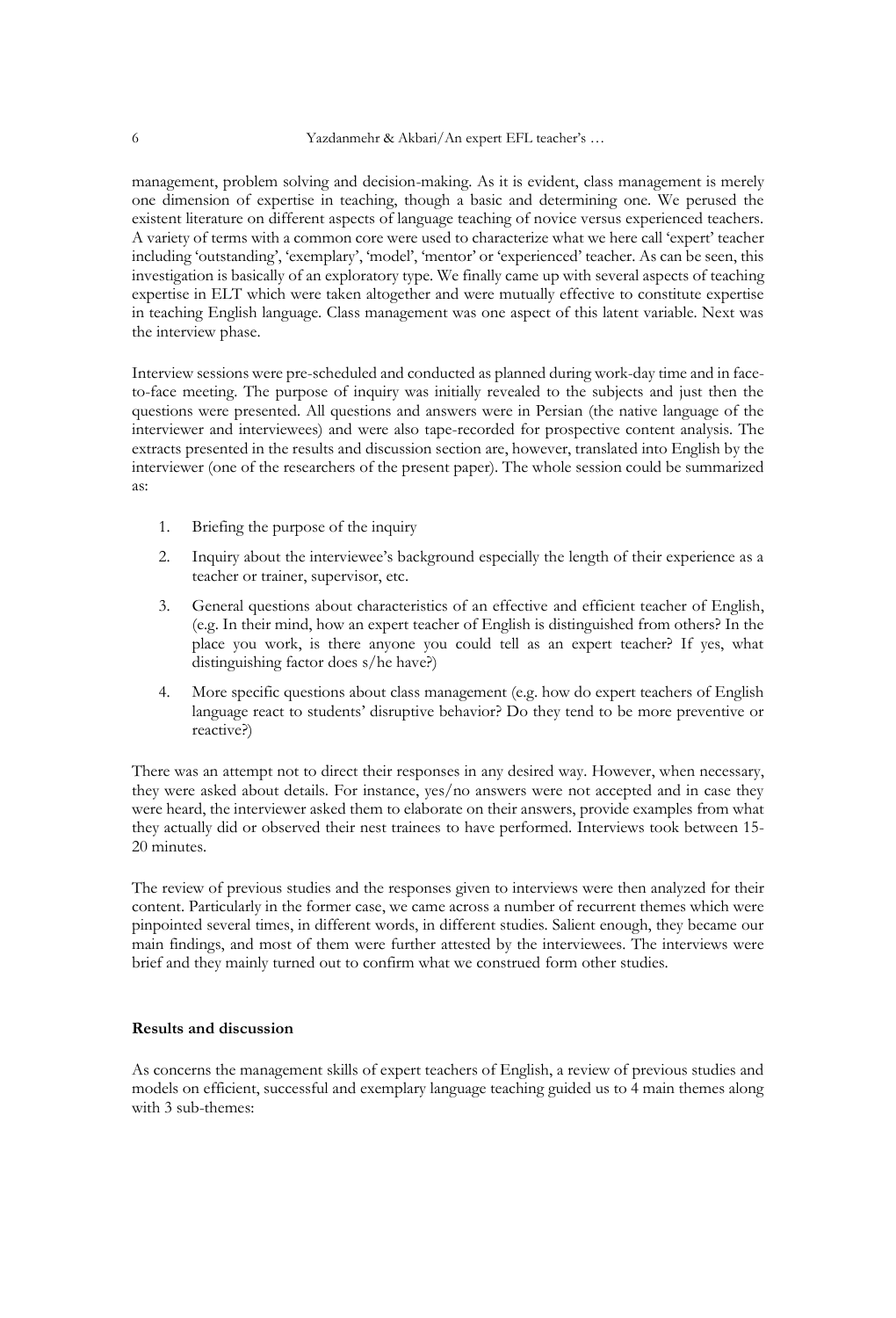management, problem solving and decision-making. As it is evident, class management is merely one dimension of expertise in teaching, though a basic and determining one. We perused the existent literature on different aspects of language teaching of novice versus experienced teachers. A variety of terms with a common core were used to characterize what we here call 'expert' teacher including 'outstanding', 'exemplary', 'model', 'mentor' or 'experienced' teacher. As can be seen, this investigation is basically of an exploratory type. We finally came up with several aspects of teaching expertise in ELT which were taken altogether and were mutually effective to constitute expertise in teaching English language. Class management was one aspect of this latent variable. Next was the interview phase.

Interview sessions were pre-scheduled and conducted as planned during work-day time and in faceto-face meeting. The purpose of inquiry was initially revealed to the subjects and just then the questions were presented. All questions and answers were in Persian (the native language of the interviewer and interviewees) and were also tape-recorded for prospective content analysis. The extracts presented in the results and discussion section are, however, translated into English by the interviewer (one of the researchers of the present paper). The whole session could be summarized as:

- 1. Briefing the purpose of the inquiry
- 2. Inquiry about the interviewee's background especially the length of their experience as a teacher or trainer, supervisor, etc.
- 3. General questions about characteristics of an effective and efficient teacher of English, (e.g. In their mind, how an expert teacher of English is distinguished from others? In the place you work, is there anyone you could tell as an expert teacher? If yes, what distinguishing factor does s/he have?)
- 4. More specific questions about class management (e.g. how do expert teachers of English language react to students' disruptive behavior? Do they tend to be more preventive or reactive?)

There was an attempt not to direct their responses in any desired way. However, when necessary, they were asked about details. For instance, yes/no answers were not accepted and in case they were heard, the interviewer asked them to elaborate on their answers, provide examples from what they actually did or observed their nest trainees to have performed. Interviews took between 15- 20 minutes.

The review of previous studies and the responses given to interviews were then analyzed for their content. Particularly in the former case, we came across a number of recurrent themes which were pinpointed several times, in different words, in different studies. Salient enough, they became our main findings, and most of them were further attested by the interviewees. The interviews were brief and they mainly turned out to confirm what we construed form other studies.

#### **Results and discussion**

As concerns the management skills of expert teachers of English, a review of previous studies and models on efficient, successful and exemplary language teaching guided us to 4 main themes along with 3 sub-themes: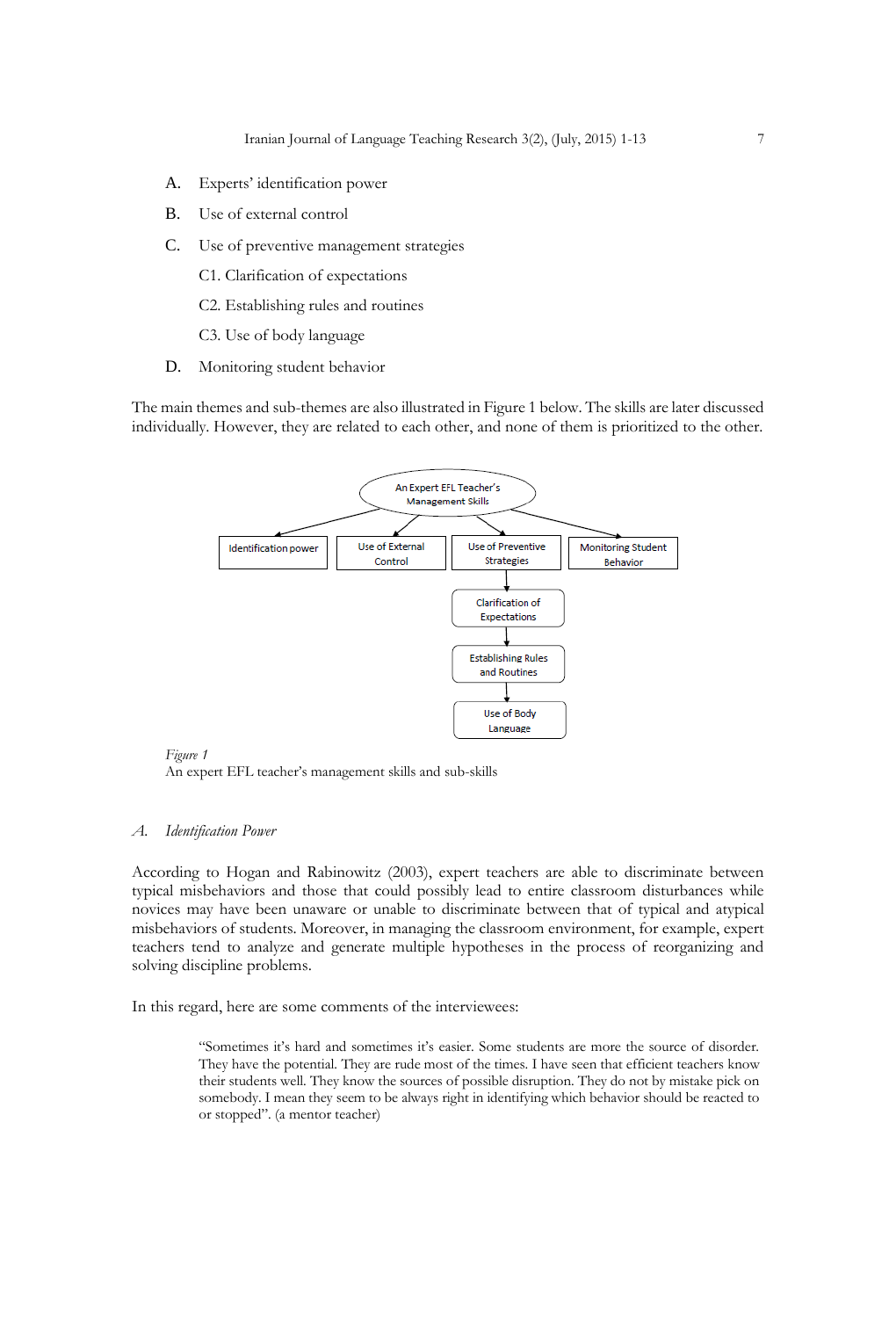- A. Experts' identification power
- B. Use of external control
- C. Use of preventive management strategies
	- C1. Clarification of expectations
	- C2. Establishing rules and routines
	- C3. Use of body language
- D. Monitoring student behavior

The main themes and sub-themes are also illustrated in Figure 1 below. The skills are later discussed individually. However, they are related to each other, and none of them is prioritized to the other.



#### *Figure 1*

An expert EFL teacher's management skills and sub-skills

#### *A. Identification Power*

According to Hogan and Rabinowitz (2003), expert teachers are able to discriminate between typical misbehaviors and those that could possibly lead to entire classroom disturbances while novices may have been unaware or unable to discriminate between that of typical and atypical misbehaviors of students. Moreover, in managing the classroom environment, for example, expert teachers tend to analyze and generate multiple hypotheses in the process of reorganizing and solving discipline problems.

In this regard, here are some comments of the interviewees:

"Sometimes it's hard and sometimes it's easier. Some students are more the source of disorder. They have the potential. They are rude most of the times. I have seen that efficient teachers know their students well. They know the sources of possible disruption. They do not by mistake pick on somebody. I mean they seem to be always right in identifying which behavior should be reacted to or stopped". (a mentor teacher)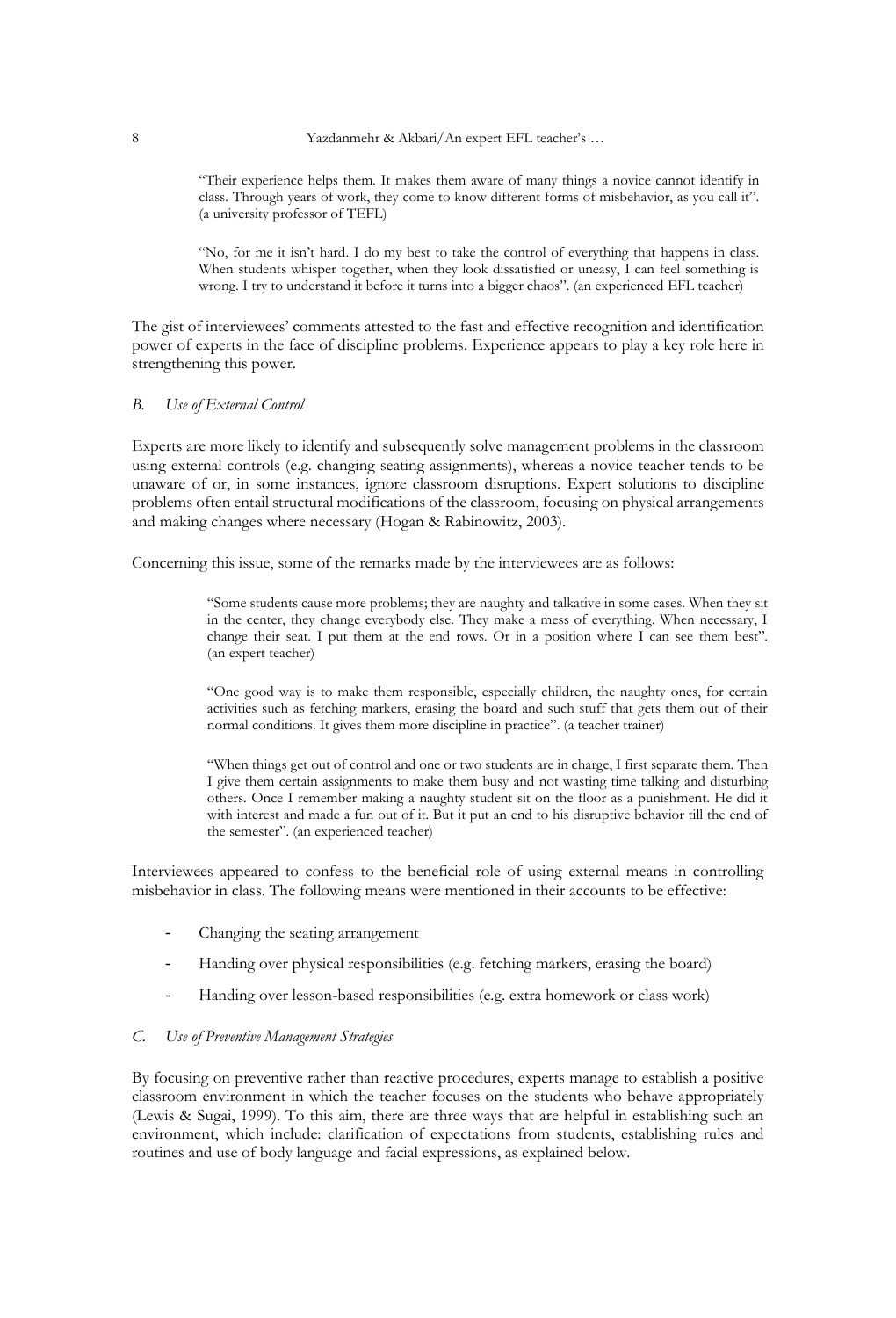"Their experience helps them. It makes them aware of many things a novice cannot identify in class. Through years of work, they come to know different forms of misbehavior, as you call it". (a university professor of TEFL)

"No, for me it isn't hard. I do my best to take the control of everything that happens in class. When students whisper together, when they look dissatisfied or uneasy, I can feel something is wrong. I try to understand it before it turns into a bigger chaos". (an experienced EFL teacher)

The gist of interviewees' comments attested to the fast and effective recognition and identification power of experts in the face of discipline problems. Experience appears to play a key role here in strengthening this power.

#### *B. Use of External Control*

Experts are more likely to identify and subsequently solve management problems in the classroom using external controls (e.g. changing seating assignments), whereas a novice teacher tends to be unaware of or, in some instances, ignore classroom disruptions. Expert solutions to discipline problems often entail structural modifications of the classroom, focusing on physical arrangements and making changes where necessary (Hogan & Rabinowitz, 2003).

Concerning this issue, some of the remarks made by the interviewees are as follows:

"Some students cause more problems; they are naughty and talkative in some cases. When they sit in the center, they change everybody else. They make a mess of everything. When necessary, I change their seat. I put them at the end rows. Or in a position where I can see them best". (an expert teacher)

"One good way is to make them responsible, especially children, the naughty ones, for certain activities such as fetching markers, erasing the board and such stuff that gets them out of their normal conditions. It gives them more discipline in practice". (a teacher trainer)

"When things get out of control and one or two students are in charge, I first separate them. Then I give them certain assignments to make them busy and not wasting time talking and disturbing others. Once I remember making a naughty student sit on the floor as a punishment. He did it with interest and made a fun out of it. But it put an end to his disruptive behavior till the end of the semester". (an experienced teacher)

Interviewees appeared to confess to the beneficial role of using external means in controlling misbehavior in class. The following means were mentioned in their accounts to be effective:

- Changing the seating arrangement
- Handing over physical responsibilities (e.g. fetching markers, erasing the board)
- Handing over lesson-based responsibilities (e.g. extra homework or class work)

#### *C. Use of Preventive Management Strategies*

By focusing on preventive rather than reactive procedures, experts manage to establish a positive classroom environment in which the teacher focuses on the students who behave appropriately (Lewis & Sugai, 1999). To this aim, there are three ways that are helpful in establishing such an environment, which include: clarification of expectations from students, establishing rules and routines and use of body language and facial expressions, as explained below.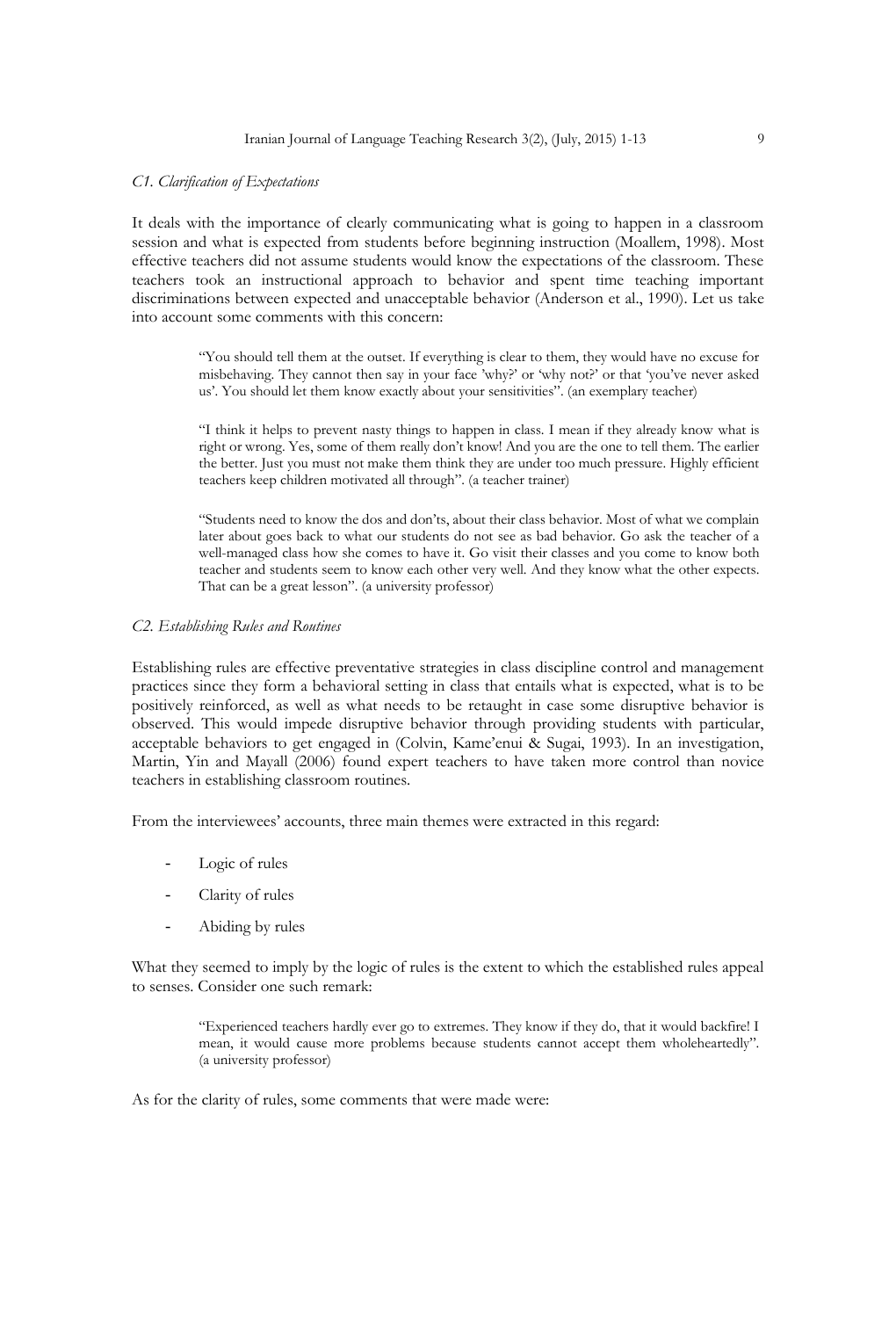#### *C1. Clarification of Expectations*

It deals with the importance of clearly communicating what is going to happen in a classroom session and what is expected from students before beginning instruction (Moallem, 1998). Most effective teachers did not assume students would know the expectations of the classroom. These teachers took an instructional approach to behavior and spent time teaching important discriminations between expected and unacceptable behavior (Anderson et al., 1990). Let us take into account some comments with this concern:

> "You should tell them at the outset. If everything is clear to them, they would have no excuse for misbehaving. They cannot then say in your face 'why?' or 'why not?' or that 'you've never asked us'. You should let them know exactly about your sensitivities". (an exemplary teacher)

> "I think it helps to prevent nasty things to happen in class. I mean if they already know what is right or wrong. Yes, some of them really don't know! And you are the one to tell them. The earlier the better. Just you must not make them think they are under too much pressure. Highly efficient teachers keep children motivated all through". (a teacher trainer)

> "Students need to know the dos and don'ts, about their class behavior. Most of what we complain later about goes back to what our students do not see as bad behavior. Go ask the teacher of a well-managed class how she comes to have it. Go visit their classes and you come to know both teacher and students seem to know each other very well. And they know what the other expects. That can be a great lesson". (a university professor)

#### *C2. Establishing Rules and Routines*

Establishing rules are effective preventative strategies in class discipline control and management practices since they form a behavioral setting in class that entails what is expected, what is to be positively reinforced, as well as what needs to be retaught in case some disruptive behavior is observed. This would impede disruptive behavior through providing students with particular, acceptable behaviors to get engaged in (Colvin, Kame'enui & Sugai, 1993). In an investigation, Martin, Yin and Mayall (2006) found expert teachers to have taken more control than novice teachers in establishing classroom routines.

From the interviewees' accounts, three main themes were extracted in this regard:

- Logic of rules
- Clarity of rules
- Abiding by rules

What they seemed to imply by the logic of rules is the extent to which the established rules appeal to senses. Consider one such remark:

> "Experienced teachers hardly ever go to extremes. They know if they do, that it would backfire! I mean, it would cause more problems because students cannot accept them wholeheartedly". (a university professor)

As for the clarity of rules, some comments that were made were: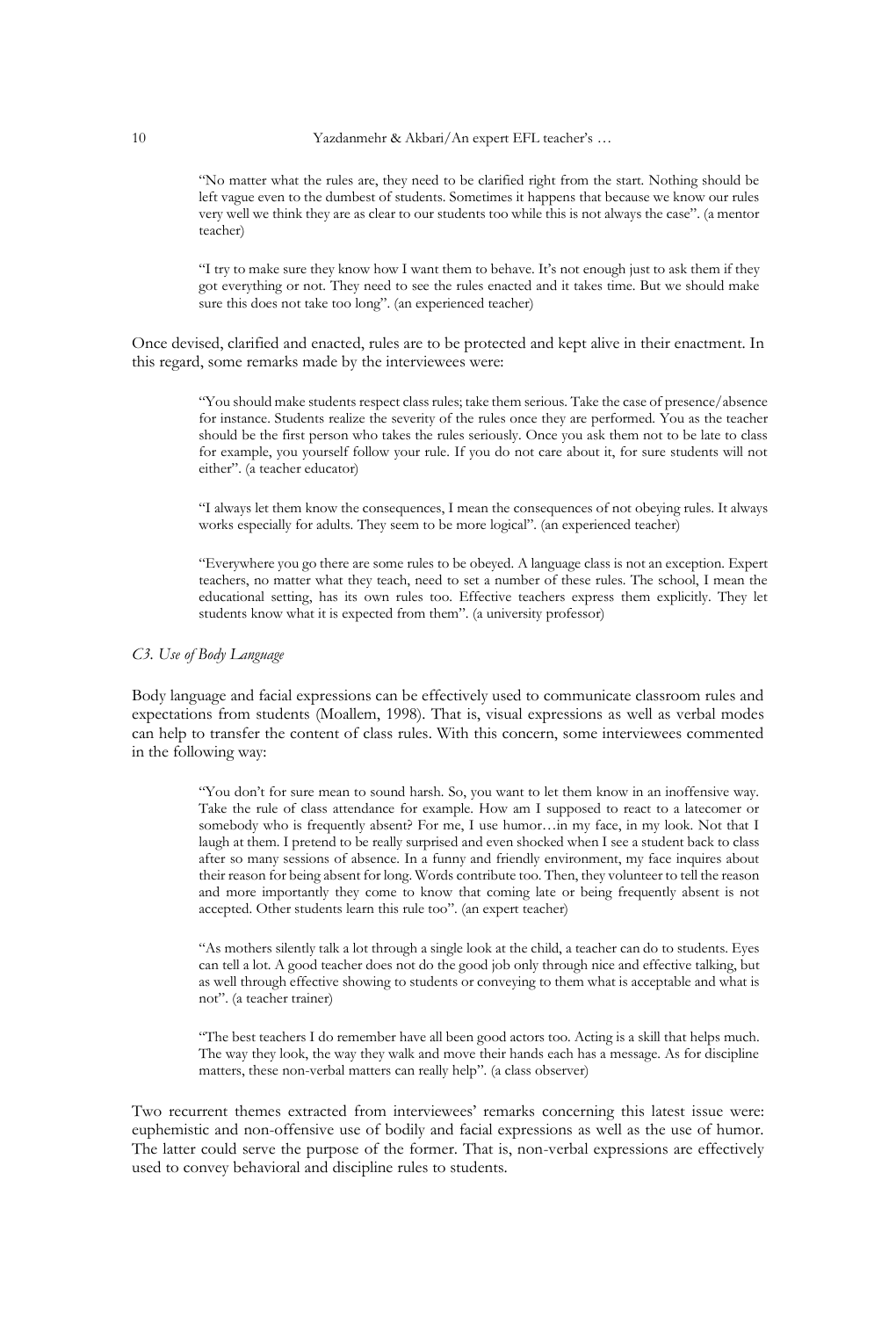"No matter what the rules are, they need to be clarified right from the start. Nothing should be left vague even to the dumbest of students. Sometimes it happens that because we know our rules very well we think they are as clear to our students too while this is not always the case". (a mentor teacher)

"I try to make sure they know how I want them to behave. It's not enough just to ask them if they got everything or not. They need to see the rules enacted and it takes time. But we should make sure this does not take too long". (an experienced teacher)

Once devised, clarified and enacted, rules are to be protected and kept alive in their enactment. In this regard, some remarks made by the interviewees were:

> "You should make students respect class rules; take them serious. Take the case of presence/absence for instance. Students realize the severity of the rules once they are performed. You as the teacher should be the first person who takes the rules seriously. Once you ask them not to be late to class for example, you yourself follow your rule. If you do not care about it, for sure students will not either". (a teacher educator)

> "I always let them know the consequences, I mean the consequences of not obeying rules. It always works especially for adults. They seem to be more logical". (an experienced teacher)

> "Everywhere you go there are some rules to be obeyed. A language class is not an exception. Expert teachers, no matter what they teach, need to set a number of these rules. The school, I mean the educational setting, has its own rules too. Effective teachers express them explicitly. They let students know what it is expected from them". (a university professor)

### *C3. Use of Body Language*

Body language and facial expressions can be effectively used to communicate classroom rules and expectations from students (Moallem, 1998). That is, visual expressions as well as verbal modes can help to transfer the content of class rules. With this concern, some interviewees commented in the following way:

> "You don't for sure mean to sound harsh. So, you want to let them know in an inoffensive way. Take the rule of class attendance for example. How am I supposed to react to a latecomer or somebody who is frequently absent? For me, I use humor...in my face, in my look. Not that I laugh at them. I pretend to be really surprised and even shocked when I see a student back to class after so many sessions of absence. In a funny and friendly environment, my face inquires about their reason for being absent for long. Words contribute too. Then, they volunteer to tell the reason and more importantly they come to know that coming late or being frequently absent is not accepted. Other students learn this rule too". (an expert teacher)

> "As mothers silently talk a lot through a single look at the child, a teacher can do to students. Eyes can tell a lot. A good teacher does not do the good job only through nice and effective talking, but as well through effective showing to students or conveying to them what is acceptable and what is not". (a teacher trainer)

> "The best teachers I do remember have all been good actors too. Acting is a skill that helps much. The way they look, the way they walk and move their hands each has a message. As for discipline matters, these non-verbal matters can really help". (a class observer)

Two recurrent themes extracted from interviewees' remarks concerning this latest issue were: euphemistic and non-offensive use of bodily and facial expressions as well as the use of humor. The latter could serve the purpose of the former. That is, non-verbal expressions are effectively used to convey behavioral and discipline rules to students.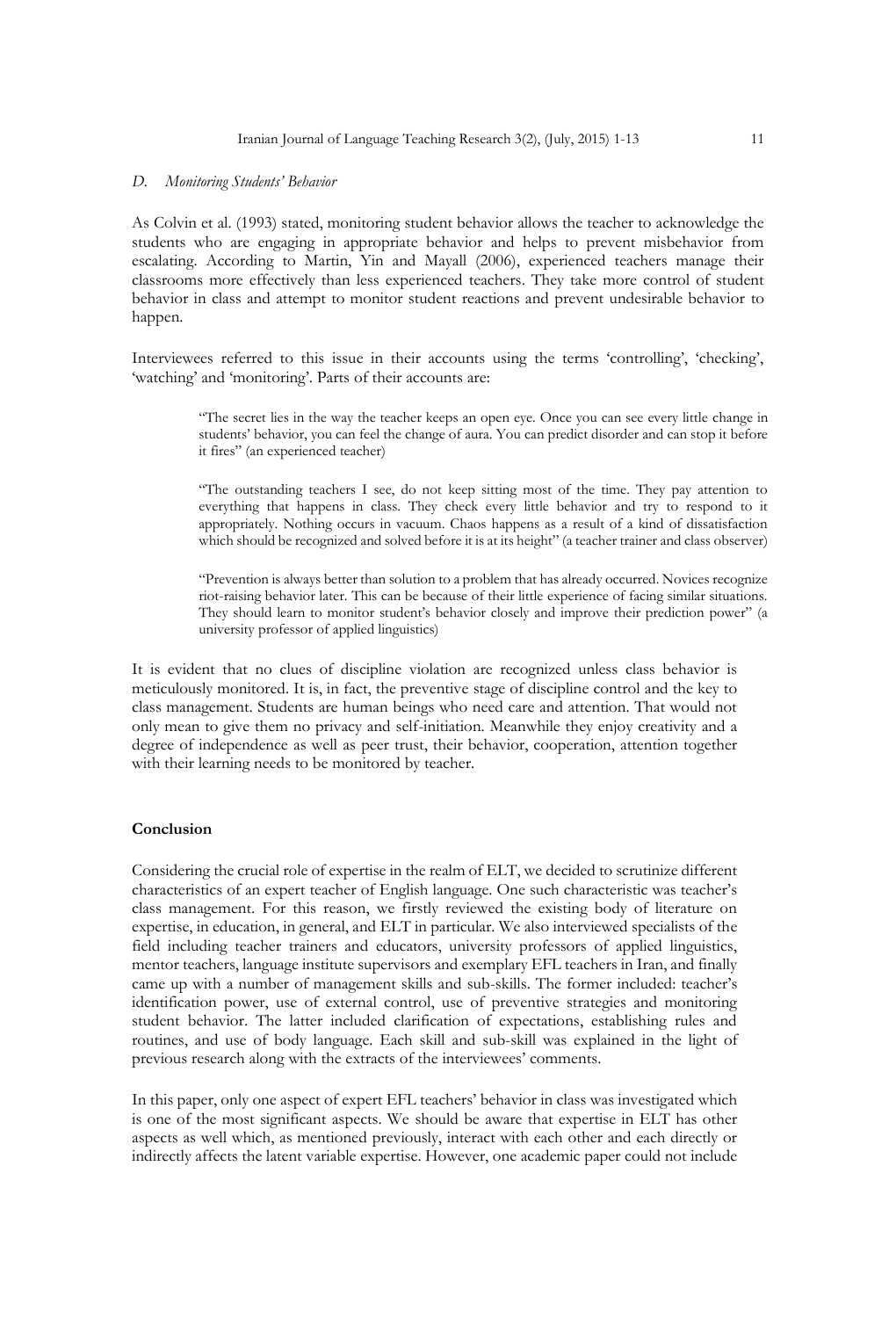#### *D. Monitoring Students' Behavior*

As Colvin et al. (1993) stated, monitoring student behavior allows the teacher to acknowledge the students who are engaging in appropriate behavior and helps to prevent misbehavior from escalating. According to Martin, Yin and Mayall (2006), experienced teachers manage their classrooms more effectively than less experienced teachers. They take more control of student behavior in class and attempt to monitor student reactions and prevent undesirable behavior to happen.

Interviewees referred to this issue in their accounts using the terms 'controlling', 'checking', 'watching' and 'monitoring'. Parts of their accounts are:

> "The secret lies in the way the teacher keeps an open eye. Once you can see every little change in students' behavior, you can feel the change of aura. You can predict disorder and can stop it before it fires" (an experienced teacher)

> "The outstanding teachers I see, do not keep sitting most of the time. They pay attention to everything that happens in class. They check every little behavior and try to respond to it appropriately. Nothing occurs in vacuum. Chaos happens as a result of a kind of dissatisfaction which should be recognized and solved before it is at its height" (a teacher trainer and class observer)

> "Prevention is always better than solution to a problem that has already occurred. Novices recognize riot-raising behavior later. This can be because of their little experience of facing similar situations. They should learn to monitor student's behavior closely and improve their prediction power" (a university professor of applied linguistics)

It is evident that no clues of discipline violation are recognized unless class behavior is meticulously monitored. It is, in fact, the preventive stage of discipline control and the key to class management. Students are human beings who need care and attention. That would not only mean to give them no privacy and self-initiation. Meanwhile they enjoy creativity and a degree of independence as well as peer trust, their behavior, cooperation, attention together with their learning needs to be monitored by teacher.

#### **Conclusion**

Considering the crucial role of expertise in the realm of ELT, we decided to scrutinize different characteristics of an expert teacher of English language. One such characteristic was teacher's class management. For this reason, we firstly reviewed the existing body of literature on expertise, in education, in general, and ELT in particular. We also interviewed specialists of the field including teacher trainers and educators, university professors of applied linguistics, mentor teachers, language institute supervisors and exemplary EFL teachers in Iran, and finally came up with a number of management skills and sub-skills. The former included: teacher's identification power, use of external control, use of preventive strategies and monitoring student behavior. The latter included clarification of expectations, establishing rules and routines, and use of body language. Each skill and sub-skill was explained in the light of previous research along with the extracts of the interviewees' comments.

In this paper, only one aspect of expert EFL teachers' behavior in class was investigated which is one of the most significant aspects. We should be aware that expertise in ELT has other aspects as well which, as mentioned previously, interact with each other and each directly or indirectly affects the latent variable expertise. However, one academic paper could not include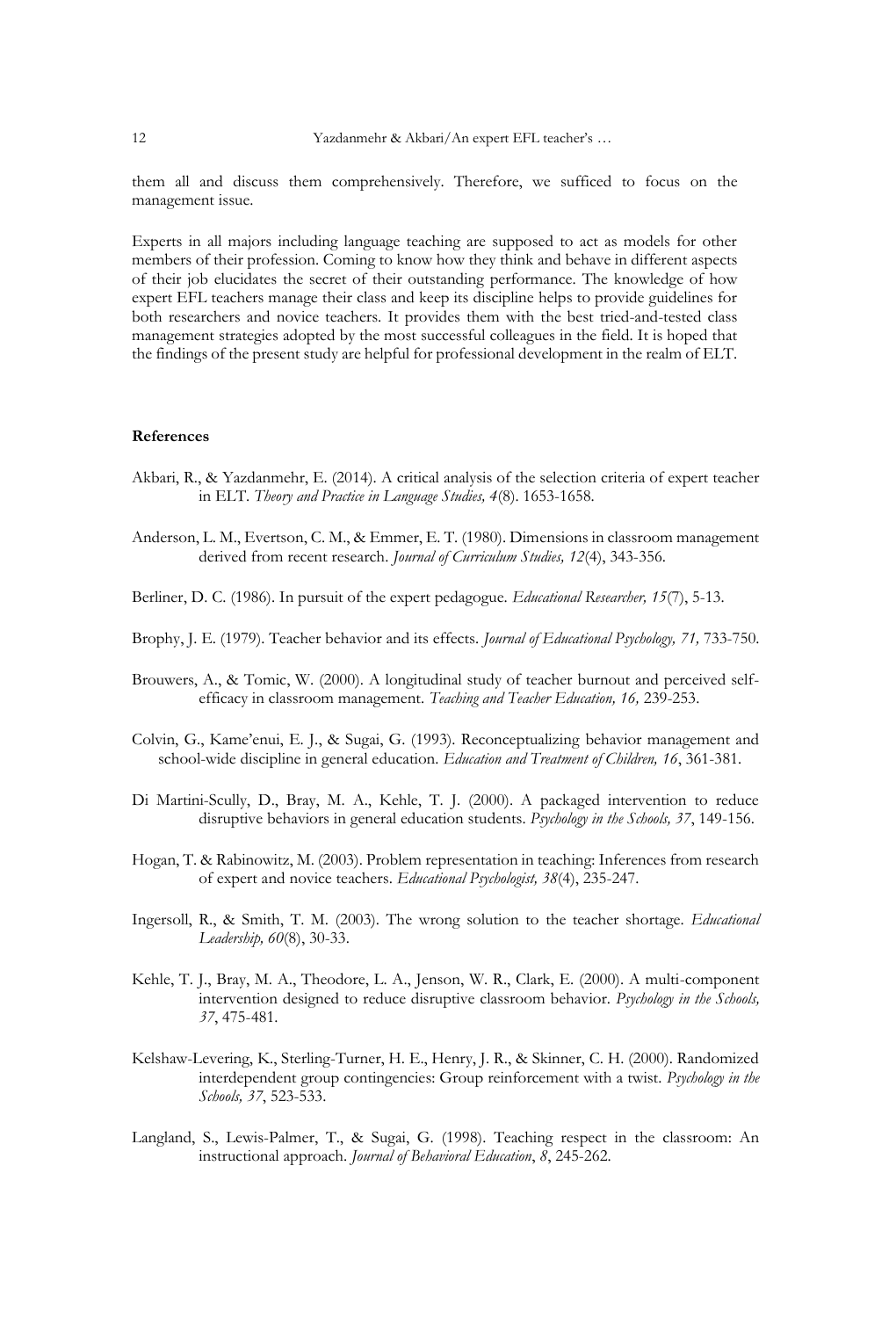them all and discuss them comprehensively. Therefore, we sufficed to focus on the management issue.

Experts in all majors including language teaching are supposed to act as models for other members of their profession. Coming to know how they think and behave in different aspects of their job elucidates the secret of their outstanding performance. The knowledge of how expert EFL teachers manage their class and keep its discipline helps to provide guidelines for both researchers and novice teachers. It provides them with the best tried-and-tested class management strategies adopted by the most successful colleagues in the field. It is hoped that the findings of the present study are helpful for professional development in the realm of ELT.

#### **References**

- Akbari, R., & Yazdanmehr, E. (2014). A critical analysis of the selection criteria of expert teacher in ELT. *Theory and Practice in Language Studies, 4*(8). 1653-1658.
- Anderson, L. M., Evertson, C. M., & Emmer, E. T. (1980). Dimensions in classroom management derived from recent research. *Journal of Curriculum Studies, 12*(4), 343-356.
- Berliner, D. C. (1986). In pursuit of the expert pedagogue. *Educational Researcher, 15*(7), 5-13.
- Brophy, J. E. (1979). Teacher behavior and its effects. *Journal of Educational Psychology, 71,* 733-750.
- Brouwers, A., & Tomic, W. (2000). A longitudinal study of teacher burnout and perceived selfefficacy in classroom management. *Teaching and Teacher Education, 16,* 239-253.
- Colvin, G., Kame'enui, E. J., & Sugai, G. (1993). Reconceptualizing behavior management and school-wide discipline in general education. *Education and Treatment of Children, 16*, 361-381.
- Di Martini-Scully, D., Bray, M. A., Kehle, T. J. (2000). A packaged intervention to reduce disruptive behaviors in general education students. *Psychology in the Schools, 37*, 149-156.
- Hogan, T. & Rabinowitz, M. (2003). Problem representation in teaching: Inferences from research of expert and novice teachers. *Educational Psychologist, 38*(4), 235-247.
- Ingersoll, R., & Smith, T. M. (2003). The wrong solution to the teacher shortage. *Educational Leadership, 60*(8), 30-33.
- Kehle, T. J., Bray, M. A., Theodore, L. A., Jenson, W. R., Clark, E. (2000). A multi-component intervention designed to reduce disruptive classroom behavior. *Psychology in the Schools, 37*, 475-481.
- Kelshaw-Levering, K., Sterling-Turner, H. E., Henry, J. R., & Skinner, C. H. (2000). Randomized interdependent group contingencies: Group reinforcement with a twist. *Psychology in the Schools, 37*, 523-533.
- Langland, S., Lewis-Palmer, T., & Sugai, G. (1998). Teaching respect in the classroom: An instructional approach. *Journal of Behavioral Education*, *8*, 245-262.